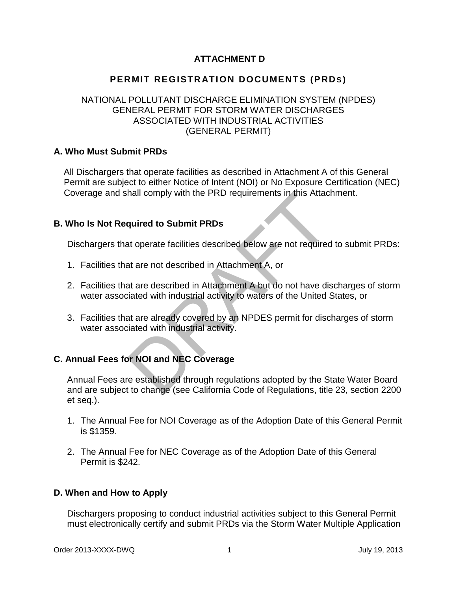# **ATTACHMENT D**

# **PERMIT REGISTRATION DOCUMENTS (PRDS)**

## NATIONAL POLLUTANT DISCHARGE ELIMINATION SYSTEM (NPDES) GENERAL PERMIT FOR STORM WATER DISCHARGES ASSOCIATED WITH INDUSTRIAL ACTIVITIES (GENERAL PERMIT)

#### **A. Who Must Submit PRDs**

 All Dischargers that operate facilities as described in Attachment A of this General Permit are subject to either Notice of Intent (NOI) or No Exposure Certification (NEC) Coverage and shall comply with the PRD requirements in this Attachment.

#### **B. Who Is Not Required to Submit PRDs**

Dischargers that operate facilities described below are not required to submit PRDs:

- 1. Facilities that are not described in Attachment A, or
- 2. Facilities that are described in Attachment A but do not have discharges of storm water associated with industrial activity to waters of the United States, or
- nall comply with the PRD requirements in this Attac<br>quired to Submit PRDs<br>at operate facilities described below are not required<br>at are not described in Attachment A, or<br>at are described in Attachment A but do not have dis 3. Facilities that are already covered by an NPDES permit for discharges of storm water associated with industrial activity.

### **C. Annual Fees for NOI and NEC Coverage**

Annual Fees are established through regulations adopted by the State Water Board and are subject to change (see California Code of Regulations, title 23, section 2200 et seq.).

- 1. The Annual Fee for NOI Coverage as of the Adoption Date of this General Permit is \$1359.
- 2. The Annual Fee for NEC Coverage as of the Adoption Date of this General Permit is \$242.

### **D. When and How to Apply**

Dischargers proposing to conduct industrial activities subject to this General Permit must electronically certify and submit PRDs via the Storm Water Multiple Application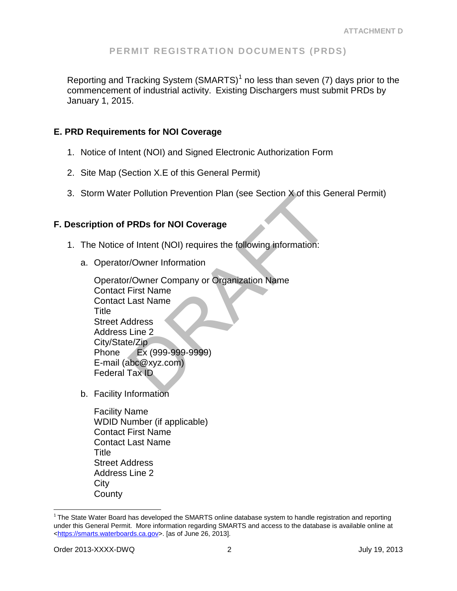Reporting and Tracking System (SMARTS)<sup>[1](#page-1-0)</sup> no less than seven (7) days prior to the commencement of industrial activity. Existing Dischargers must submit PRDs by January 1, 2015.

### **E. PRD Requirements for NOI Coverage**

- 1. Notice of Intent (NOI) and Signed Electronic Authorization Form
- 2. Site Map (Section X.E of this General Permit)
- 3. Storm Water Pollution Prevention Plan (see Section X of this General Permit)

## **F. Description of PRDs for NOI Coverage**

- 1. The Notice of Intent (NOI) requires the following information:
	- a. Operator/Owner Information

r Pollution Prevention Plan (see Section X of this G.<br>
PRDs for NOI Coverage<br>
of Intent (NOI) requires the following information:<br>
r/Owner Information<br>
r/Owner Company or Organization Name<br>
First Name<br>
Last Name<br>
ddress<br>
L Operator/Owner Company or Organization Name Contact First Name Contact Last Name Title Street Address Address Line 2 City/State/Zip Phone Ex (999-999-9999) E-mail (abc@xyz.com) Federal Tax ID

b. Facility Information

Facility Name WDID Number (if applicable) Contact First Name Contact Last Name **Title** Street Address Address Line 2 **City County** 

l

<span id="page-1-0"></span> $1$  The State Water Board has developed the SMARTS online database system to handle registration and reporting under this General Permit. More information regarding SMARTS and access to the database is available online at [<https://smarts.waterboards.ca.gov>](https://smarts.waterboards.ca.gov/). [as of June 26, 2013].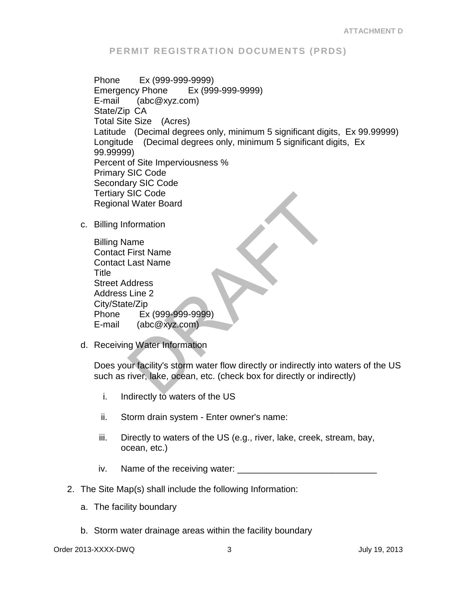DRAFT Phone Ex (999-999-9999) Emergency Phone Ex (999-999-9999) E-mail (abc@xyz.com) State/Zip CA Total Site Size (Acres) Latitude (Decimal degrees only, minimum 5 significant digits, Ex 99.99999) Longitude (Decimal degrees only, minimum 5 significant digits, Ex 99.99999) Percent of Site Imperviousness % Primary SIC Code Secondary SIC Code Tertiary SIC Code Regional Water Board

c. Billing Information

| <b>Billing Name</b>       |                   |
|---------------------------|-------------------|
| <b>Contact First Name</b> |                   |
| <b>Contact Last Name</b>  |                   |
| Title                     |                   |
| <b>Street Address</b>     |                   |
| <b>Address Line 2</b>     |                   |
| City/State/Zip            |                   |
| Phone                     | Ex (999-999-9999) |
| E-mail                    | (abc@xyz.com)     |

d. Receiving Water Information

Does your facility's storm water flow directly or indirectly into waters of the US such as river, lake, ocean, etc. (check box for directly or indirectly)

- i. Indirectly to waters of the US
- ii. Storm drain system Enter owner's name:
- iii. Directly to waters of the US (e.g., river, lake, creek, stream, bay, ocean, etc.)
- iv. Name of the receiving water:
- 2. The Site Map(s) shall include the following Information:
	- a. The facility boundary
	- b. Storm water drainage areas within the facility boundary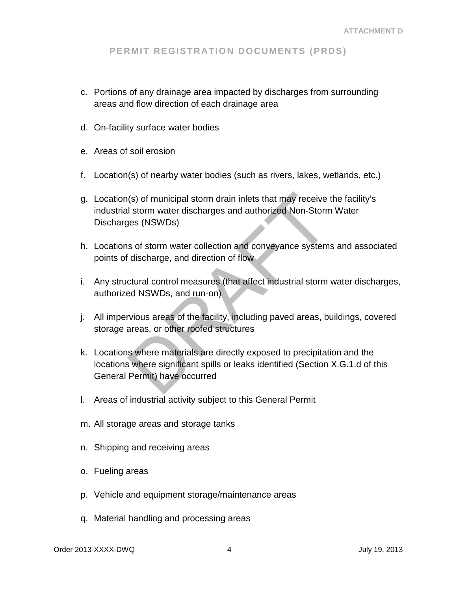- c. Portions of any drainage area impacted by discharges from surrounding areas and flow direction of each drainage area
- d. On-facility surface water bodies
- e. Areas of soil erosion
- f. Location(s) of nearby water bodies (such as rivers, lakes, wetlands, etc.)
- (s) of municipal storm drain inlets that may receive<br>I storm water discharges and authorized Non-Storm<br>ges (NSWDs)<br>is of storm water collection and conveyance system<br>idischarge, and direction of flow<br>ctural control measure g. Location(s) of municipal storm drain inlets that may receive the facility's industrial storm water discharges and authorized Non-Storm Water Discharges (NSWDs)
- h. Locations of storm water collection and conveyance systems and associated points of discharge, and direction of flow
- i. Any structural control measures (that affect industrial storm water discharges, authorized NSWDs, and run-on)
- j. All impervious areas of the facility, including paved areas, buildings, covered storage areas, or other roofed structures
- k. Locations where materials are directly exposed to precipitation and the locations where significant spills or leaks identified (Section X.G.1.d of this General Permit) have occurred
- l. Areas of industrial activity subject to this General Permit
- m. All storage areas and storage tanks
- n. Shipping and receiving areas
- o. Fueling areas
- p. Vehicle and equipment storage/maintenance areas
- q. Material handling and processing areas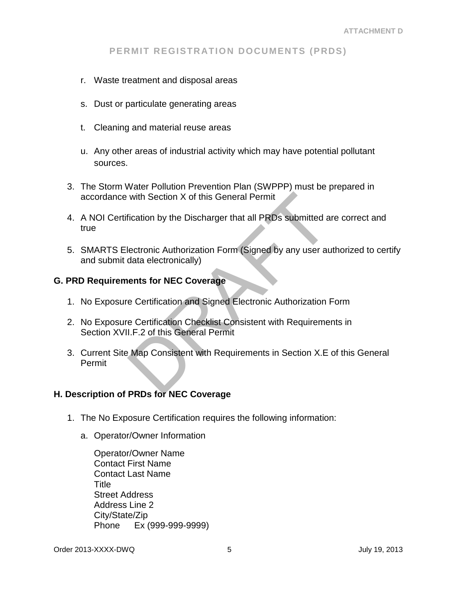- r. Waste treatment and disposal areas
- s. Dust or particulate generating areas
- t. Cleaning and material reuse areas
- u. Any other areas of industrial activity which may have potential pollutant sources.
- 3. The Storm Water Pollution Prevention Plan (SWPPP) must be prepared in accordance with Section X of this General Permit
- with Section X of this General Permit<br>
Fication by the Discharger that all PRDs submitted a<br>
lectronic Authorization Form (Signed by any user at<br>
data electronically)<br>
lents for NEC Coverage<br>
e Certification and Signed Ele 4. A NOI Certification by the Discharger that all PRDs submitted are correct and true
- 5. SMARTS Electronic Authorization Form (Signed by any user authorized to certify and submit data electronically)

## **G. PRD Requirements for NEC Coverage**

- 1. No Exposure Certification and Signed Electronic Authorization Form
- 2. No Exposure Certification Checklist Consistent with Requirements in Section XVII.F.2 of this General Permit
- 3. Current Site Map Consistent with Requirements in Section X.E of this General Permit

## **H. Description of PRDs for NEC Coverage**

- 1. The No Exposure Certification requires the following information:
	- a. Operator/Owner Information

Operator/Owner Name Contact First Name Contact Last Name **Title** Street Address Address Line 2 City/State/Zip Phone Ex (999-999-9999)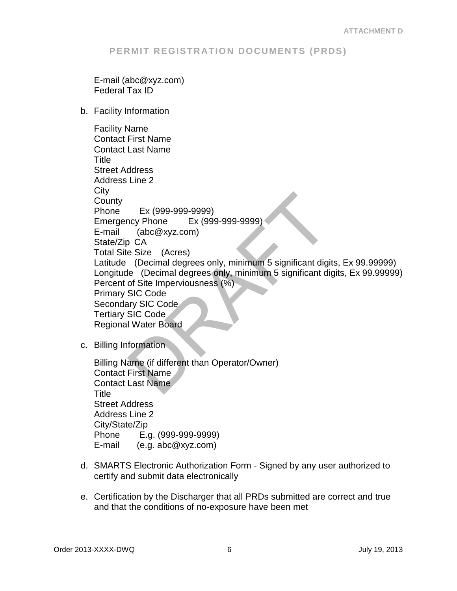E-mail (abc@xyz.com) Federal Tax ID

b. Facility Information

| <b>Facility Name</b><br><b>Contact First Name</b><br><b>Contact Last Name</b><br>Title<br><b>Street Address</b><br><b>Address Line 2</b><br>City<br>County<br>Phone<br>Ex (999-999-9999)<br>Emergency Phone Ex (999-999-9999)<br>E-mail (abc@xyz.com)<br>State/Zip CA<br>Total Site Size (Acres)<br>Latitude (Decimal degrees only, minimum 5 significant digits, Ex 99.99999)<br>Longitude (Decimal degrees only, minimum 5 significant digits, Ex 99.99999)<br>Percent of Site Imperviousness (%)<br><b>Primary SIC Code</b><br><b>Secondary SIC Code</b><br>Tertiary SIC Code |
|----------------------------------------------------------------------------------------------------------------------------------------------------------------------------------------------------------------------------------------------------------------------------------------------------------------------------------------------------------------------------------------------------------------------------------------------------------------------------------------------------------------------------------------------------------------------------------|
| <b>Regional Water Board</b>                                                                                                                                                                                                                                                                                                                                                                                                                                                                                                                                                      |
| c. Billing Information                                                                                                                                                                                                                                                                                                                                                                                                                                                                                                                                                           |
| Billing Name (if different than Operator/Owner)<br><b>Contact First Name</b><br><b>Contact Last Name</b><br>∟Titl                                                                                                                                                                                                                                                                                                                                                                                                                                                                |

Billing Name (if different than Operator/Owner) Contact First Name Contact Last Name **Title** Street Address Address Line 2 City/State/Zip Phone E.g. (999-999-9999)<br>E-mail (e.g. abc@xvz.com)  $(e.g. abc@xyz.com)$ 

- d. SMARTS Electronic Authorization Form Signed by any user authorized to certify and submit data electronically
- e. Certification by the Discharger that all PRDs submitted are correct and true and that the conditions of no-exposure have been met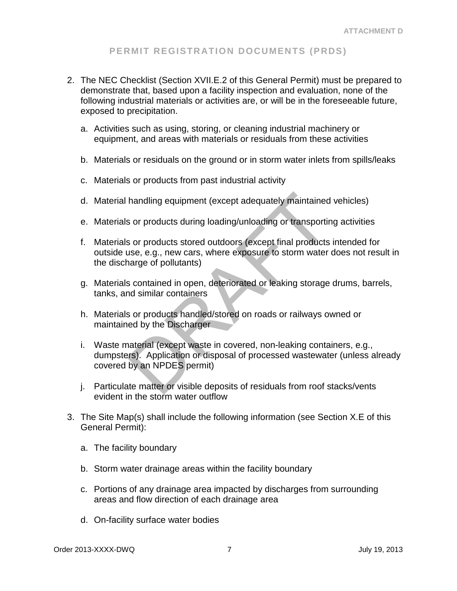- 2. The NEC Checklist (Section XVII.E.2 of this General Permit) must be prepared to demonstrate that, based upon a facility inspection and evaluation, none of the following industrial materials or activities are, or will be in the foreseeable future, exposed to precipitation.
	- a. Activities such as using, storing, or cleaning industrial machinery or equipment, and areas with materials or residuals from these activities
	- b. Materials or residuals on the ground or in storm water inlets from spills/leaks
	- c. Materials or products from past industrial activity
	- d. Material handling equipment (except adequately maintained vehicles)
	- e. Materials or products during loading/unloading or transporting activities
	- f. Materials or products stored outdoors (except final products intended for outside use, e.g., new cars, where exposure to storm water does not result in the discharge of pollutants)
	- g. Materials contained in open, deteriorated or leaking storage drums, barrels, tanks, and similar containers
	- h. Materials or products handled/stored on roads or railways owned or maintained by the Discharger
	- handling equipment (except adequately maintained<br>s or products during loading/unloading or transportir<br>s or products stored outdoors (except final products<br>use, e.g., new cars, where exposure to storm water<br>narge of pollut i. Waste material (except waste in covered, non-leaking containers, e.g., dumpsters). Application or disposal of processed wastewater (unless already covered by an NPDES permit)
	- j. Particulate matter or visible deposits of residuals from roof stacks/vents evident in the storm water outflow
- 3. The Site Map(s) shall include the following information (see Section X.E of this General Permit):
	- a. The facility boundary
	- b. Storm water drainage areas within the facility boundary
	- c. Portions of any drainage area impacted by discharges from surrounding areas and flow direction of each drainage area
	- d. On-facility surface water bodies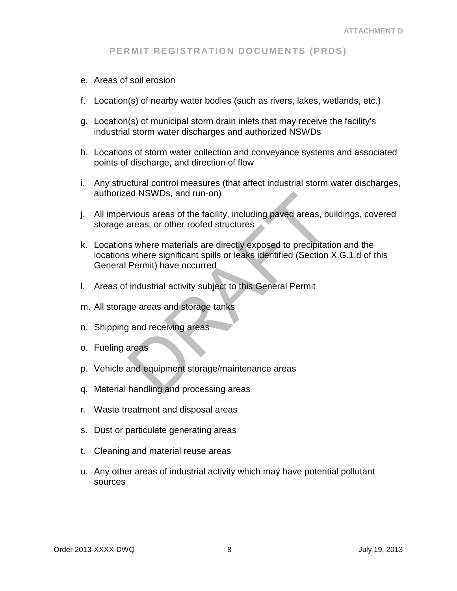- e. Areas of soil erosion
- f. Location(s) of nearby water bodies (such as rivers, lakes, wetlands, etc.)
- g. Location(s) of municipal storm drain inlets that may receive the facility's industrial storm water discharges and authorized NSWDs
- h. Locations of storm water collection and conveyance systems and associated points of discharge, and direction of flow
- i. Any structural control measures (that affect industrial storm water discharges, authorized NSWDs, and run-on)
- j. All impervious areas of the facility, including paved areas, buildings, covered storage areas, or other roofed structures
- ed NSWDs, and run-on)<br>prious areas of the facility, including paved areas, but<br>areas, or other roofed structures<br>is where materials are directly exposed to precipitati<br>is where significant spills or leaks identified (Secti k. Locations where materials are directly exposed to precipitation and the locations where significant spills or leaks identified (Section X.G.1.d of this General Permit) have occurred
- l. Areas of industrial activity subject to this General Permit
- m. All storage areas and storage tanks
- n. Shipping and receiving areas
- o. Fueling areas
- p. Vehicle and equipment storage/maintenance areas
- q. Material handling and processing areas
- r. Waste treatment and disposal areas
- s. Dust or particulate generating areas
- t. Cleaning and material reuse areas
- u. Any other areas of industrial activity which may have potential pollutant sources